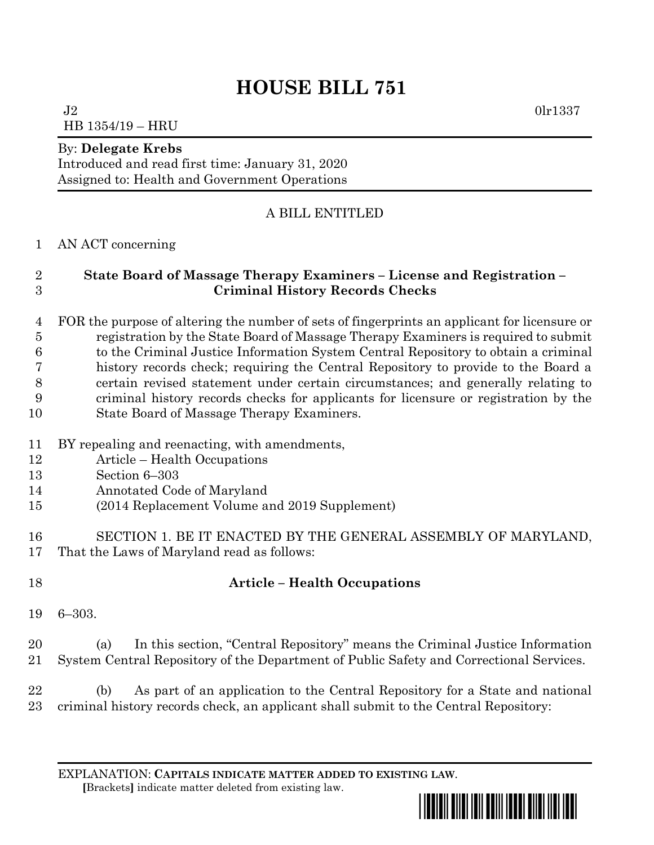# **HOUSE BILL 751**

 $J2$  0lr1337 HB 1354/19 – HRU

#### By: **Delegate Krebs**

Introduced and read first time: January 31, 2020 Assigned to: Health and Government Operations

## A BILL ENTITLED

#### AN ACT concerning

### **State Board of Massage Therapy Examiners – License and Registration – Criminal History Records Checks**

 FOR the purpose of altering the number of sets of fingerprints an applicant for licensure or registration by the State Board of Massage Therapy Examiners is required to submit to the Criminal Justice Information System Central Repository to obtain a criminal history records check; requiring the Central Repository to provide to the Board a certain revised statement under certain circumstances; and generally relating to criminal history records checks for applicants for licensure or registration by the State Board of Massage Therapy Examiners.

- BY repealing and reenacting, with amendments,
- Article Health Occupations
- Section 6–303
- Annotated Code of Maryland
- (2014 Replacement Volume and 2019 Supplement)
- SECTION 1. BE IT ENACTED BY THE GENERAL ASSEMBLY OF MARYLAND, That the Laws of Maryland read as follows:
- 

# **Article – Health Occupations**

6–303.

 (a) In this section, "Central Repository" means the Criminal Justice Information System Central Repository of the Department of Public Safety and Correctional Services.

 (b) As part of an application to the Central Repository for a State and national criminal history records check, an applicant shall submit to the Central Repository:

EXPLANATION: **CAPITALS INDICATE MATTER ADDED TO EXISTING LAW**.  **[**Brackets**]** indicate matter deleted from existing law.